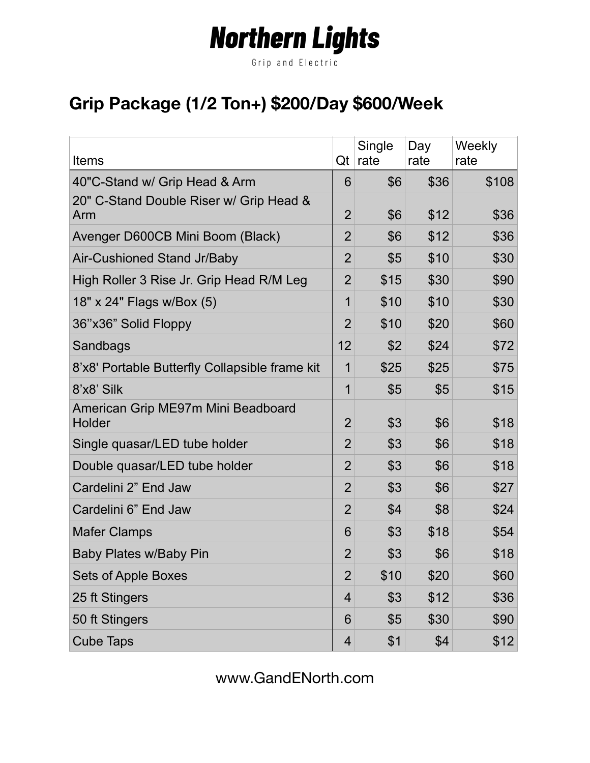# **Northern Lights**

Grip and Electric

### **Grip Package (1/2 Ton+) \$200/Day \$600/Week**

| <b>Items</b>                                   | Qt             | Single<br>rate | Day<br>rate | Weekly<br>rate |
|------------------------------------------------|----------------|----------------|-------------|----------------|
| 40"C-Stand w/ Grip Head & Arm                  | 6              | \$6            | \$36        | \$108          |
| 20" C-Stand Double Riser w/ Grip Head &<br>Arm | $\overline{2}$ | \$6            | \$12        | \$36           |
| Avenger D600CB Mini Boom (Black)               | $\overline{2}$ | \$6            | \$12        | \$36           |
| Air-Cushioned Stand Jr/Baby                    | $\overline{2}$ | \$5            | \$10        | \$30           |
| High Roller 3 Rise Jr. Grip Head R/M Leg       | $\overline{2}$ | \$15           | \$30        | \$90           |
| 18" x 24" Flags w/Box (5)                      | 1              | \$10           | \$10        | \$30           |
| 36"x36" Solid Floppy                           | $\overline{2}$ | \$10           | \$20        | \$60           |
| Sandbags                                       | 12             | \$2            | \$24        | \$72           |
| 8'x8' Portable Butterfly Collapsible frame kit | 1              | \$25           | \$25        | \$75           |
| 8'x8' Silk                                     | 1              | \$5            | \$5         | \$15           |
| American Grip ME97m Mini Beadboard<br>Holder   | $\overline{2}$ | \$3            | \$6         | \$18           |
| Single quasar/LED tube holder                  | $\overline{2}$ | \$3            | \$6         | \$18           |
| Double quasar/LED tube holder                  | $\overline{2}$ | \$3            | \$6         | \$18           |
| Cardelini 2" End Jaw                           | $\overline{2}$ | \$3            | \$6         | \$27           |
| Cardelini 6" End Jaw                           | $\overline{2}$ | \$4            | \$8         | \$24           |
| <b>Mafer Clamps</b>                            | 6              | \$3            | \$18        | \$54           |
| Baby Plates w/Baby Pin                         | $\overline{2}$ | \$3            | \$6         | \$18           |
| <b>Sets of Apple Boxes</b>                     | $\overline{2}$ | \$10           | \$20        | \$60           |
| 25 ft Stingers                                 | 4              | \$3            | \$12        | \$36           |
| 50 ft Stingers                                 | 6              | \$5            | \$30        | \$90           |
| <b>Cube Taps</b>                               | 4              | \$1            | \$4         | \$12           |

www.GandENorth.com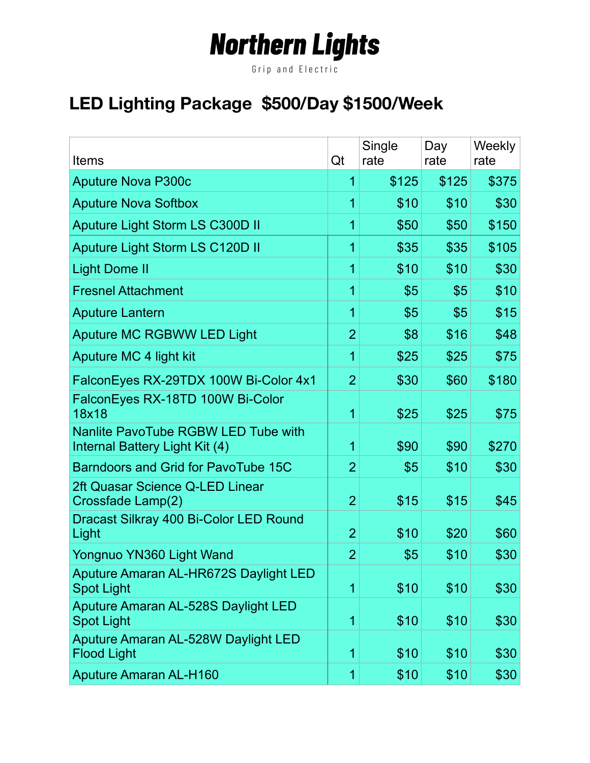# **Northern Lights**

Grip and Electric

## **LED Lighting Package \$500/Day \$1500/Week**

| <b>Items</b>                                                                 | Qt             | Single<br>rate | Day<br>rate | Weekly<br>rate |
|------------------------------------------------------------------------------|----------------|----------------|-------------|----------------|
| <b>Aputure Nova P300c</b>                                                    | 1              | \$125          | \$125       | \$375          |
| <b>Aputure Nova Softbox</b>                                                  | 1              | \$10           | \$10        | \$30           |
| Aputure Light Storm LS C300D II                                              | 1              | \$50           | \$50        | \$150          |
| Aputure Light Storm LS C120D II                                              | 1              | \$35           | \$35        | \$105          |
| <b>Light Dome II</b>                                                         | 1              | \$10           | \$10        | \$30           |
| <b>Fresnel Attachment</b>                                                    | $\overline{1}$ | \$5            | \$5         | \$10           |
| <b>Aputure Lantern</b>                                                       | 1              | \$5            | \$5         | \$15           |
| <b>Aputure MC RGBWW LED Light</b>                                            | $\overline{2}$ | \$8            | \$16        | \$48           |
| Aputure MC 4 light kit                                                       | $\overline{1}$ | \$25           | \$25        | \$75           |
| FalconEyes RX-29TDX 100W Bi-Color 4x1                                        | $\overline{2}$ | \$30           | \$60        | \$180          |
| FalconEyes RX-18TD 100W Bi-Color<br>18x18                                    | 1              | \$25           | \$25        | \$75           |
| <b>Nanlite PavoTube RGBW LED Tube with</b><br>Internal Battery Light Kit (4) | $\overline{1}$ | \$90           | \$90        | \$270          |
| Barndoors and Grid for PavoTube 15C                                          | $\overline{2}$ | \$5            | \$10        | \$30           |
| 2ft Quasar Science Q-LED Linear<br>Crossfade Lamp(2)                         | $\overline{2}$ | \$15           | \$15        | \$45           |
| Dracast Silkray 400 Bi-Color LED Round<br>Light                              | $\overline{2}$ | \$10           | \$20        | \$60           |
| Yongnuo YN360 Light Wand                                                     | $\overline{2}$ | \$5            | \$10        | \$30           |
| Aputure Amaran AL-HR672S Daylight LED<br><b>Spot Light</b>                   | $\mathbf{1}$   | \$10           | \$10        | \$30           |
| Aputure Amaran AL-528S Daylight LED<br><b>Spot Light</b>                     | $\mathbf{1}$   | \$10           | \$10        | \$30           |
| Aputure Amaran AL-528W Daylight LED<br><b>Flood Light</b>                    | $\mathbf{1}$   | \$10           | \$10        | \$30           |
| <b>Aputure Amaran AL-H160</b>                                                | $\overline{1}$ | \$10           | \$10        | \$30           |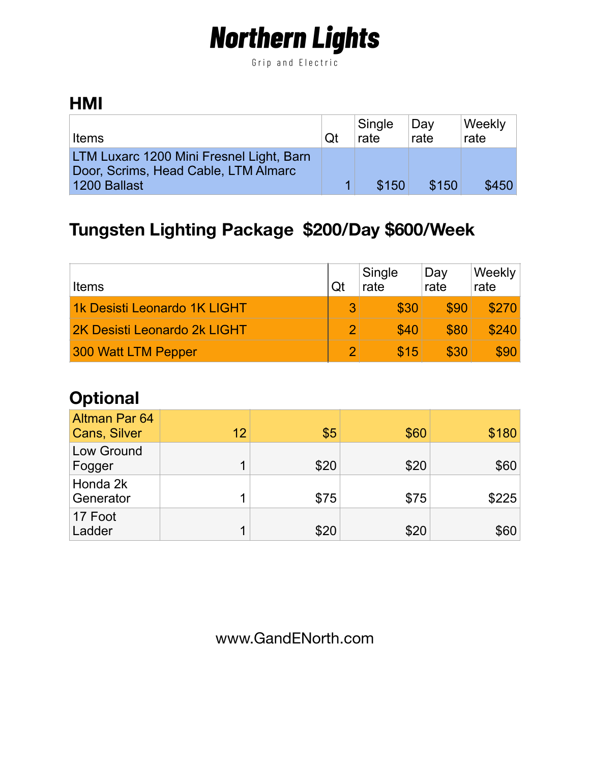# **Northern Lights**

Grip and Electric

#### **HMI**

| <b>Items</b>                                                                                     | Qt | Single<br>rate | Day<br>rate | <b>Weekly</b><br>rate |
|--------------------------------------------------------------------------------------------------|----|----------------|-------------|-----------------------|
| LTM Luxarc 1200 Mini Fresnel Light, Barn<br>Door, Scrims, Head Cable, LTM Almarc<br>1200 Ballast |    | \$150          | \$150       | \$450                 |

### **Tungsten Lighting Package \$200/Day \$600/Week**

| <b>Items</b>                 | Qt | Single<br>rate | Day<br>rate | Weekly<br>rate |
|------------------------------|----|----------------|-------------|----------------|
| 1k Desisti Leonardo 1K LIGHT |    | \$30           | \$90        | \$270          |
| 2K Desisti Leonardo 2k LIGHT |    | \$40           | \$80        | \$240          |
| 300 Watt LTM Pepper          |    | \$15           | \$30        | \$90           |

### **Optional**

| <b>Altman Par 64</b><br><b>Cans, Silver</b> | 12 | \$5  | \$60 | \$180 |
|---------------------------------------------|----|------|------|-------|
| Low Ground<br>Fogger                        | 1  | \$20 | \$20 | \$60  |
| Honda 2k<br>Generator                       |    | \$75 | \$75 | \$225 |
| 17 Foot<br>Ladder                           | ◀  | \$20 | \$20 | \$60  |

www.GandENorth.com